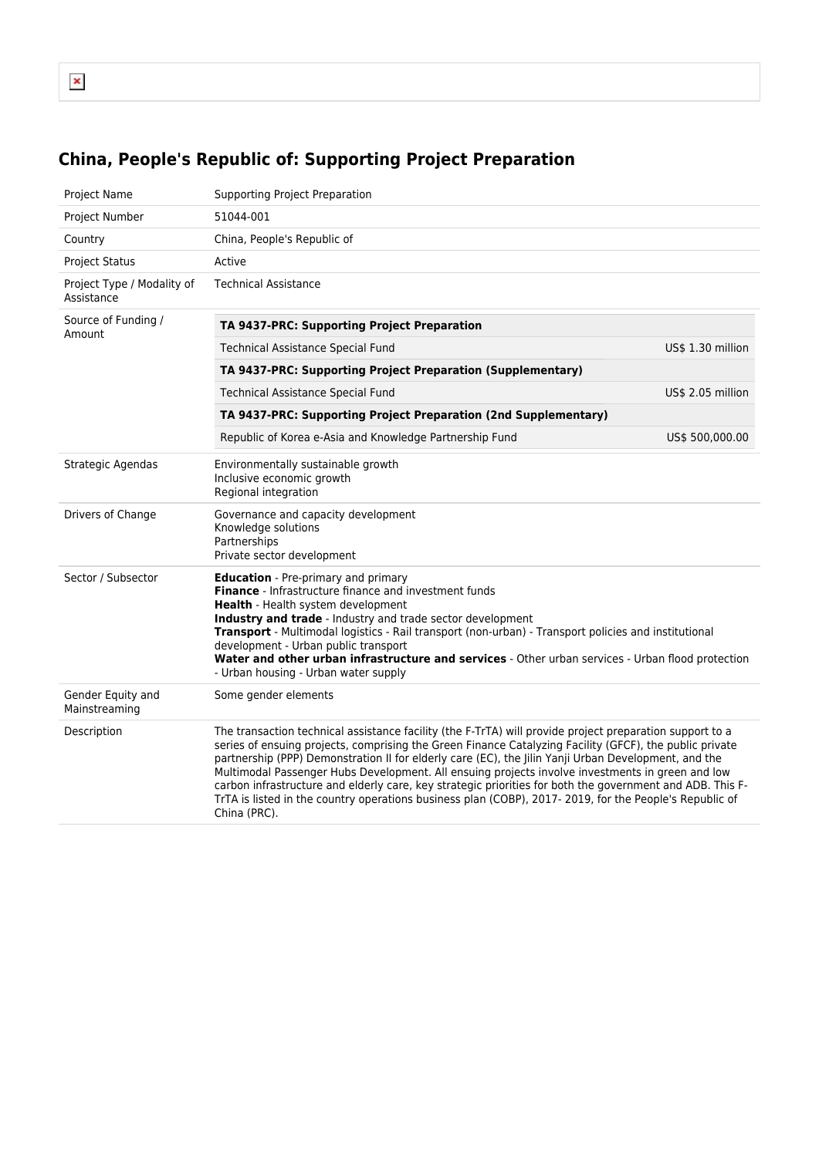## **China, People's Republic of: Supporting Project Preparation**

| <b>Project Name</b>                      | Supporting Project Preparation                                                                                                                                                                                                                                                                                                                                                                                                                                                                                                                                                                                                                                         |                   |  |  |  |  |
|------------------------------------------|------------------------------------------------------------------------------------------------------------------------------------------------------------------------------------------------------------------------------------------------------------------------------------------------------------------------------------------------------------------------------------------------------------------------------------------------------------------------------------------------------------------------------------------------------------------------------------------------------------------------------------------------------------------------|-------------------|--|--|--|--|
| Project Number                           | 51044-001                                                                                                                                                                                                                                                                                                                                                                                                                                                                                                                                                                                                                                                              |                   |  |  |  |  |
| Country                                  | China, People's Republic of                                                                                                                                                                                                                                                                                                                                                                                                                                                                                                                                                                                                                                            |                   |  |  |  |  |
| <b>Project Status</b>                    | Active                                                                                                                                                                                                                                                                                                                                                                                                                                                                                                                                                                                                                                                                 |                   |  |  |  |  |
| Project Type / Modality of<br>Assistance | <b>Technical Assistance</b>                                                                                                                                                                                                                                                                                                                                                                                                                                                                                                                                                                                                                                            |                   |  |  |  |  |
| Source of Funding /<br>Amount            | TA 9437-PRC: Supporting Project Preparation                                                                                                                                                                                                                                                                                                                                                                                                                                                                                                                                                                                                                            |                   |  |  |  |  |
|                                          | Technical Assistance Special Fund                                                                                                                                                                                                                                                                                                                                                                                                                                                                                                                                                                                                                                      | US\$ 1.30 million |  |  |  |  |
|                                          | TA 9437-PRC: Supporting Project Preparation (Supplementary)                                                                                                                                                                                                                                                                                                                                                                                                                                                                                                                                                                                                            |                   |  |  |  |  |
|                                          | Technical Assistance Special Fund                                                                                                                                                                                                                                                                                                                                                                                                                                                                                                                                                                                                                                      | US\$ 2.05 million |  |  |  |  |
|                                          | TA 9437-PRC: Supporting Project Preparation (2nd Supplementary)                                                                                                                                                                                                                                                                                                                                                                                                                                                                                                                                                                                                        |                   |  |  |  |  |
|                                          | Republic of Korea e-Asia and Knowledge Partnership Fund                                                                                                                                                                                                                                                                                                                                                                                                                                                                                                                                                                                                                | US\$ 500,000.00   |  |  |  |  |
| Strategic Agendas                        | Environmentally sustainable growth<br>Inclusive economic growth<br>Regional integration                                                                                                                                                                                                                                                                                                                                                                                                                                                                                                                                                                                |                   |  |  |  |  |
| Drivers of Change                        | Governance and capacity development<br>Knowledge solutions<br>Partnerships<br>Private sector development                                                                                                                                                                                                                                                                                                                                                                                                                                                                                                                                                               |                   |  |  |  |  |
| Sector / Subsector                       | <b>Education</b> - Pre-primary and primary<br>Finance - Infrastructure finance and investment funds<br>Health - Health system development<br>Industry and trade - Industry and trade sector development<br>Transport - Multimodal logistics - Rail transport (non-urban) - Transport policies and institutional<br>development - Urban public transport<br>Water and other urban infrastructure and services - Other urban services - Urban flood protection<br>- Urban housing - Urban water supply                                                                                                                                                                   |                   |  |  |  |  |
| Gender Equity and<br>Mainstreaming       | Some gender elements                                                                                                                                                                                                                                                                                                                                                                                                                                                                                                                                                                                                                                                   |                   |  |  |  |  |
| Description                              | The transaction technical assistance facility (the F-TrTA) will provide project preparation support to a<br>series of ensuing projects, comprising the Green Finance Catalyzing Facility (GFCF), the public private<br>partnership (PPP) Demonstration II for elderly care (EC), the Jilin Yanji Urban Development, and the<br>Multimodal Passenger Hubs Development. All ensuing projects involve investments in green and low<br>carbon infrastructure and elderly care, key strategic priorities for both the government and ADB. This F-<br>TrTA is listed in the country operations business plan (COBP), 2017-2019, for the People's Republic of<br>China (PRC). |                   |  |  |  |  |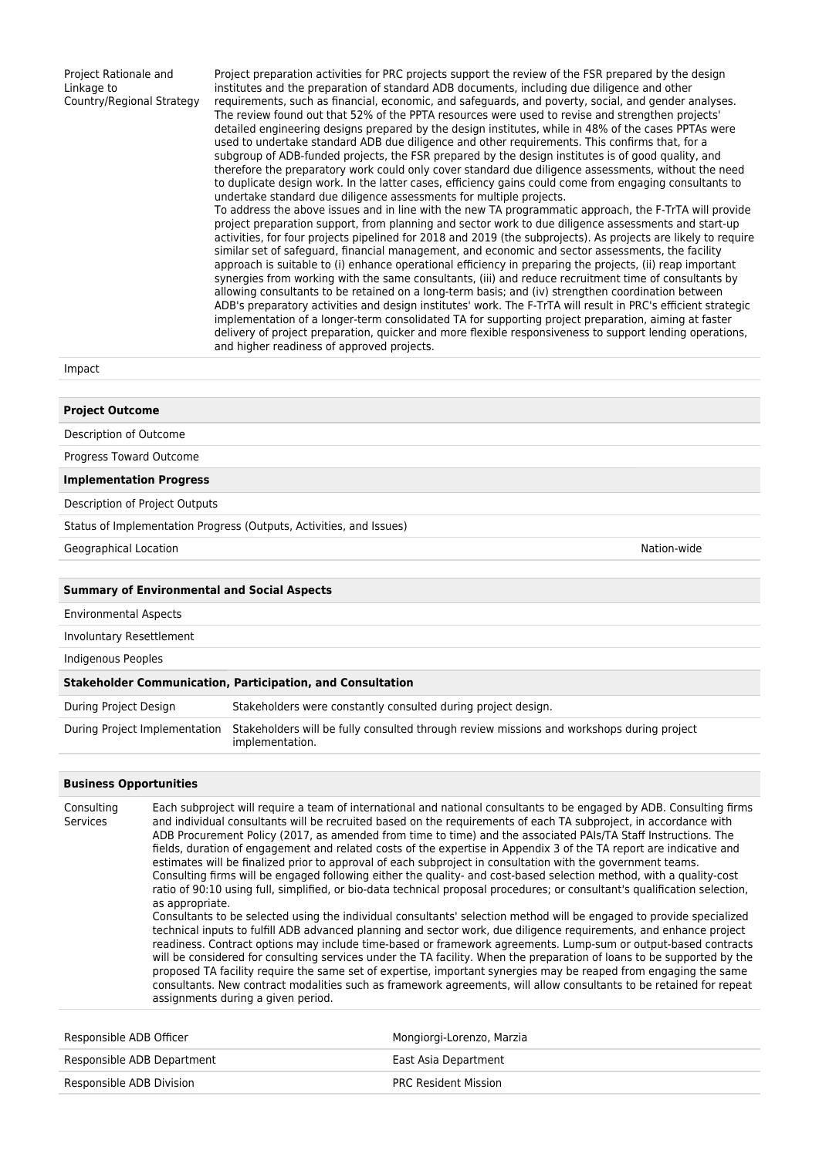Project Rationale and Linkage to Country/Regional Strategy

Project preparation activities for PRC projects support the review of the FSR prepared by the design institutes and the preparation of standard ADB documents, including due diligence and other requirements, such as financial, economic, and safeguards, and poverty, social, and gender analyses. The review found out that 52% of the PPTA resources were used to revise and strengthen projects' detailed engineering designs prepared by the design institutes, while in 48% of the cases PPTAs were used to undertake standard ADB due diligence and other requirements. This confirms that, for a subgroup of ADB-funded projects, the FSR prepared by the design institutes is of good quality, and therefore the preparatory work could only cover standard due diligence assessments, without the need to duplicate design work. In the latter cases, efficiency gains could come from engaging consultants to undertake standard due diligence assessments for multiple projects.

To address the above issues and in line with the new TA programmatic approach, the F-TrTA will provide project preparation support, from planning and sector work to due diligence assessments and start-up activities, for four projects pipelined for 2018 and 2019 (the subprojects). As projects are likely to require similar set of safeguard, financial management, and economic and sector assessments, the facility approach is suitable to (i) enhance operational efficiency in preparing the projects, (ii) reap important synergies from working with the same consultants, (iii) and reduce recruitment time of consultants by allowing consultants to be retained on a long-term basis; and (iv) strengthen coordination between ADB's preparatory activities and design institutes' work. The F-TrTA will result in PRC's efficient strategic implementation of a longer-term consolidated TA for supporting project preparation, aiming at faster delivery of project preparation, quicker and more flexible responsiveness to support lending operations, and higher readiness of approved projects.

## Impact

| <b>Project Outcome</b>                             |                                                                                                              |
|----------------------------------------------------|--------------------------------------------------------------------------------------------------------------|
| Description of Outcome                             |                                                                                                              |
| Progress Toward Outcome                            |                                                                                                              |
| <b>Implementation Progress</b>                     |                                                                                                              |
| Description of Project Outputs                     |                                                                                                              |
|                                                    | Status of Implementation Progress (Outputs, Activities, and Issues)                                          |
| Geographical Location                              | Nation-wide                                                                                                  |
|                                                    |                                                                                                              |
| <b>Summary of Environmental and Social Aspects</b> |                                                                                                              |
| <b>Environmental Aspects</b>                       |                                                                                                              |
| Involuntary Resettlement                           |                                                                                                              |
| Indigenous Peoples                                 |                                                                                                              |
|                                                    | <b>Stakeholder Communication, Participation, and Consultation</b>                                            |
| During Project Design                              | Stakeholders were constantly consulted during project design.                                                |
| During Project Implementation                      | Stakeholders will be fully consulted through review missions and workshops during project<br>implementation. |

## **Business Opportunities**

Consulting Services Each subproject will require a team of international and national consultants to be engaged by ADB. Consulting firms and individual consultants will be recruited based on the requirements of each TA subproject, in accordance with ADB Procurement Policy (2017, as amended from time to time) and the associated PAIs/TA Staff Instructions. The fields, duration of engagement and related costs of the expertise in Appendix 3 of the TA report are indicative and estimates will be finalized prior to approval of each subproject in consultation with the government teams. Consulting firms will be engaged following either the quality- and cost-based selection method, with a quality-cost ratio of 90:10 using full, simplified, or bio-data technical proposal procedures; or consultant's qualification selection, as appropriate. Consultants to be selected using the individual consultants' selection method will be engaged to provide specialized technical inputs to fulfill ADB advanced planning and sector work, due diligence requirements, and enhance project readiness. Contract options may include time-based or framework agreements. Lump-sum or output-based contracts will be considered for consulting services under the TA facility. When the preparation of loans to be supported by the proposed TA facility require the same set of expertise, important synergies may be reaped from engaging the same consultants. New contract modalities such as framework agreements, will allow consultants to be retained for repeat assignments during a given period. Responsible ADB Officer Mongiorgi-Lorenzo, Marzia

Responsible ADB Department **East Asia Department** Responsible ADB Division **PRC Resident Mission** PRC Resident Mission